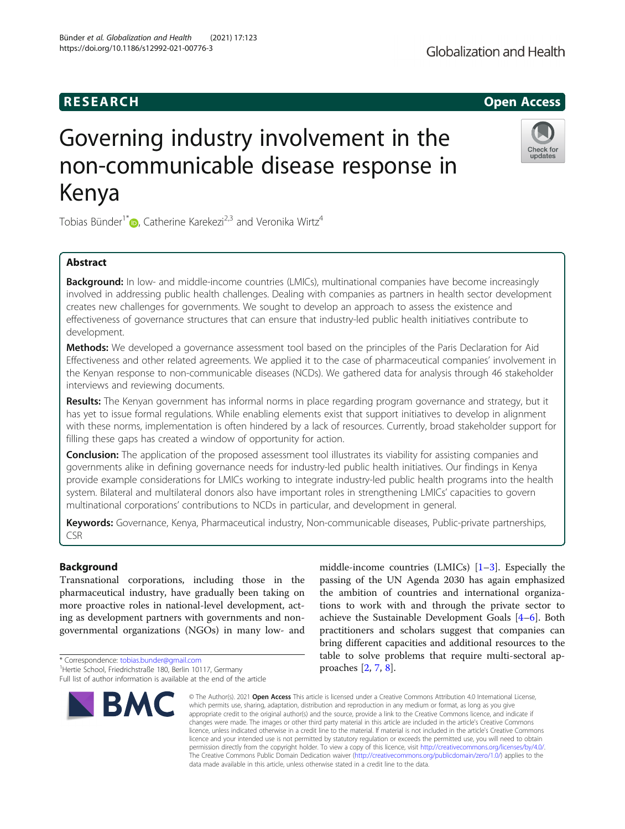# Governing industry involvement in the non-communicable disease response in Kenya

Tobias Bünder<sup>1[\\*](http://orcid.org/0000-0001-7803-4137)</sup> $\bullet$ , Catherine Karekezi<sup>2,3</sup> and Veronika Wirtz<sup>4</sup>

# Abstract

**Background:** In low- and middle-income countries (LMICs), multinational companies have become increasingly involved in addressing public health challenges. Dealing with companies as partners in health sector development creates new challenges for governments. We sought to develop an approach to assess the existence and effectiveness of governance structures that can ensure that industry-led public health initiatives contribute to development.

Methods: We developed a governance assessment tool based on the principles of the Paris Declaration for Aid Effectiveness and other related agreements. We applied it to the case of pharmaceutical companies' involvement in the Kenyan response to non-communicable diseases (NCDs). We gathered data for analysis through 46 stakeholder interviews and reviewing documents.

Results: The Kenyan government has informal norms in place regarding program governance and strategy, but it has yet to issue formal regulations. While enabling elements exist that support initiatives to develop in alignment with these norms, implementation is often hindered by a lack of resources. Currently, broad stakeholder support for filling these gaps has created a window of opportunity for action.

**Conclusion:** The application of the proposed assessment tool illustrates its viability for assisting companies and governments alike in defining governance needs for industry-led public health initiatives. Our findings in Kenya provide example considerations for LMICs working to integrate industry-led public health programs into the health system. Bilateral and multilateral donors also have important roles in strengthening LMICs' capacities to govern multinational corporations' contributions to NCDs in particular, and development in general.

Keywords: Governance, Kenya, Pharmaceutical industry, Non-communicable diseases, Public-private partnerships, CSR

# Background

Transnational corporations, including those in the pharmaceutical industry, have gradually been taking on more proactive roles in national-level development, acting as development partners with governments and nongovernmental organizations (NGOs) in many low- and

\* Correspondence: [tobias.bunder@gmail.com](mailto:tobias.bunder@gmail.com) <sup>1</sup>

**BMC** 

appropriate credit to the original author(s) and the source, provide a link to the Creative Commons licence, and indicate if changes were made. The images or other third party material in this article are included in the article's Creative Commons licence, unless indicated otherwise in a credit line to the material. If material is not included in the article's Creative Commons licence and your intended use is not permitted by statutory regulation or exceeds the permitted use, you will need to obtain permission directly from the copyright holder. To view a copy of this licence, visit [http://creativecommons.org/licenses/by/4.0/.](http://creativecommons.org/licenses/by/4.0/) The Creative Commons Public Domain Dedication waiver [\(http://creativecommons.org/publicdomain/zero/1.0/](http://creativecommons.org/publicdomain/zero/1.0/)) applies to the data made available in this article, unless otherwise stated in a credit line to the data.

© The Author(s), 2021 **Open Access** This article is licensed under a Creative Commons Attribution 4.0 International License, which permits use, sharing, adaptation, distribution and reproduction in any medium or format, as long as you give

middle-income countries (LMICs) [[1](#page-13-0)–[3\]](#page-13-0). Especially the passing of the UN Agenda 2030 has again emphasized the ambition of countries and international organizations to work with and through the private sector to achieve the Sustainable Development Goals [\[4](#page-13-0)–[6\]](#page-13-0). Both practitioners and scholars suggest that companies can bring different capacities and additional resources to the table to solve problems that require multi-sectoral approaches [\[2](#page-13-0), [7](#page-13-0), [8](#page-13-0)].







<sup>&</sup>lt;sup>1</sup>Hertie School, Friedrichstraße 180, Berlin 10117, Germany Full list of author information is available at the end of the article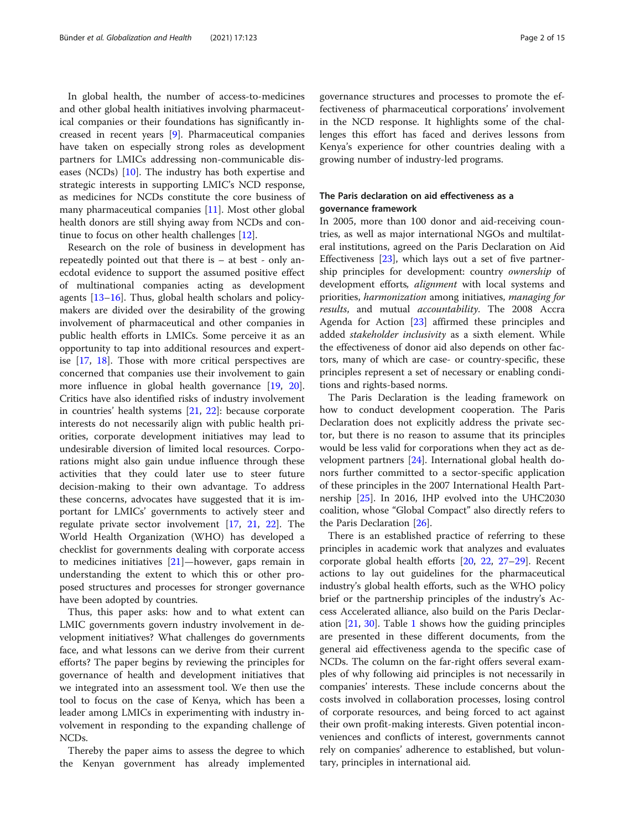In global health, the number of access-to-medicines and other global health initiatives involving pharmaceutical companies or their foundations has significantly increased in recent years [\[9](#page-13-0)]. Pharmaceutical companies have taken on especially strong roles as development partners for LMICs addressing non-communicable diseases (NCDs) [[10](#page-13-0)]. The industry has both expertise and strategic interests in supporting LMIC's NCD response, as medicines for NCDs constitute the core business of many pharmaceutical companies [\[11\]](#page-13-0). Most other global health donors are still shying away from NCDs and continue to focus on other health challenges [\[12](#page-13-0)].

Research on the role of business in development has repeatedly pointed out that there is – at best - only anecdotal evidence to support the assumed positive effect of multinational companies acting as development agents [\[13](#page-13-0)–[16\]](#page-13-0). Thus, global health scholars and policymakers are divided over the desirability of the growing involvement of pharmaceutical and other companies in public health efforts in LMICs. Some perceive it as an opportunity to tap into additional resources and expertise [\[17](#page-13-0), [18](#page-13-0)]. Those with more critical perspectives are concerned that companies use their involvement to gain more influence in global health governance [[19](#page-13-0), [20](#page-13-0)]. Critics have also identified risks of industry involvement in countries' health systems [\[21](#page-13-0), [22](#page-13-0)]: because corporate interests do not necessarily align with public health priorities, corporate development initiatives may lead to undesirable diversion of limited local resources. Corporations might also gain undue influence through these activities that they could later use to steer future decision-making to their own advantage. To address these concerns, advocates have suggested that it is important for LMICs' governments to actively steer and regulate private sector involvement [\[17,](#page-13-0) [21,](#page-13-0) [22](#page-13-0)]. The World Health Organization (WHO) has developed a checklist for governments dealing with corporate access to medicines initiatives [[21\]](#page-13-0)—however, gaps remain in understanding the extent to which this or other proposed structures and processes for stronger governance have been adopted by countries.

Thus, this paper asks: how and to what extent can LMIC governments govern industry involvement in development initiatives? What challenges do governments face, and what lessons can we derive from their current efforts? The paper begins by reviewing the principles for governance of health and development initiatives that we integrated into an assessment tool. We then use the tool to focus on the case of Kenya, which has been a leader among LMICs in experimenting with industry involvement in responding to the expanding challenge of NCDs.

Thereby the paper aims to assess the degree to which the Kenyan government has already implemented governance structures and processes to promote the effectiveness of pharmaceutical corporations' involvement in the NCD response. It highlights some of the challenges this effort has faced and derives lessons from Kenya's experience for other countries dealing with a growing number of industry-led programs.

# The Paris declaration on aid effectiveness as a governance framework

In 2005, more than 100 donor and aid-receiving countries, as well as major international NGOs and multilateral institutions, agreed on the Paris Declaration on Aid Effectiveness [\[23](#page-13-0)], which lays out a set of five partnership principles for development: country ownership of development efforts, alignment with local systems and priorities, harmonization among initiatives, managing for results, and mutual accountability. The 2008 Accra Agenda for Action [\[23](#page-13-0)] affirmed these principles and added stakeholder inclusivity as a sixth element. While the effectiveness of donor aid also depends on other factors, many of which are case- or country-specific, these principles represent a set of necessary or enabling conditions and rights-based norms.

The Paris Declaration is the leading framework on how to conduct development cooperation. The Paris Declaration does not explicitly address the private sector, but there is no reason to assume that its principles would be less valid for corporations when they act as development partners [\[24\]](#page-13-0). International global health donors further committed to a sector-specific application of these principles in the 2007 International Health Partnership [[25\]](#page-13-0). In 2016, IHP evolved into the UHC2030 coalition, whose "Global Compact" also directly refers to the Paris Declaration [[26\]](#page-13-0).

There is an established practice of referring to these principles in academic work that analyzes and evaluates corporate global health efforts [[20](#page-13-0), [22](#page-13-0), [27](#page-13-0)–[29\]](#page-13-0). Recent actions to lay out guidelines for the pharmaceutical industry's global health efforts, such as the WHO policy brief or the partnership principles of the industry's Access Accelerated alliance, also build on the Paris Declaration [[21,](#page-13-0) [30\]](#page-13-0). Table [1](#page-2-0) shows how the guiding principles are presented in these different documents, from the general aid effectiveness agenda to the specific case of NCDs. The column on the far-right offers several examples of why following aid principles is not necessarily in companies' interests. These include concerns about the costs involved in collaboration processes, losing control of corporate resources, and being forced to act against their own profit-making interests. Given potential inconveniences and conflicts of interest, governments cannot rely on companies' adherence to established, but voluntary, principles in international aid.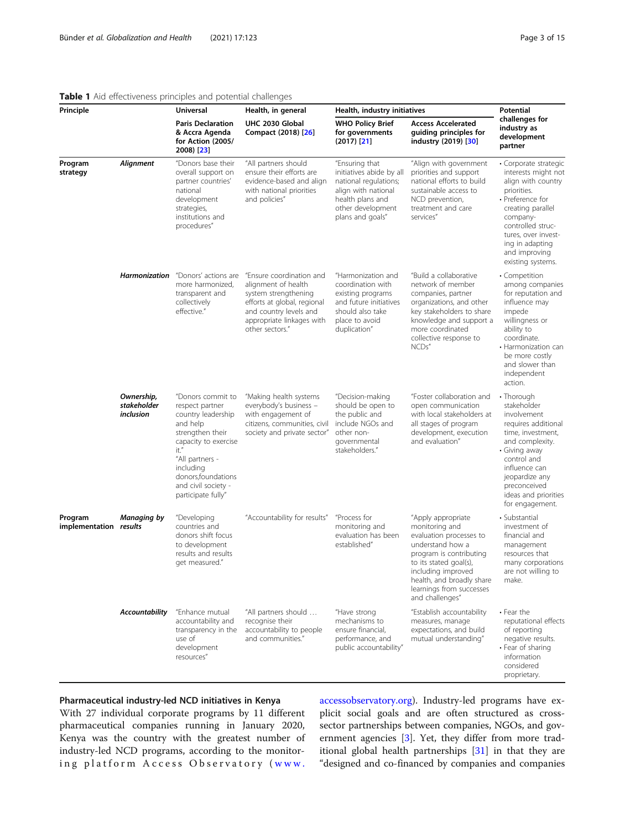# <span id="page-2-0"></span>Table 1 Aid effectiveness principles and potential challenges

| Principle                         |                                        | <b>Universal</b>                                                                                                                                                                                                               | Health, in general                                                                                                                                                               | Health, industry initiatives                                                                                                                            |                                                                                                                                                                                                                                            | <b>Potential</b>                                                                                                                                                                                                                            |
|-----------------------------------|----------------------------------------|--------------------------------------------------------------------------------------------------------------------------------------------------------------------------------------------------------------------------------|----------------------------------------------------------------------------------------------------------------------------------------------------------------------------------|---------------------------------------------------------------------------------------------------------------------------------------------------------|--------------------------------------------------------------------------------------------------------------------------------------------------------------------------------------------------------------------------------------------|---------------------------------------------------------------------------------------------------------------------------------------------------------------------------------------------------------------------------------------------|
|                                   |                                        | <b>Paris Declaration</b><br>& Accra Agenda<br>for Action (2005/<br>2008) [23]                                                                                                                                                  | UHC 2030 Global<br>Compact (2018) [26]                                                                                                                                           | <b>WHO Policy Brief</b><br>for governments<br>$(2017)$ [21]                                                                                             | <b>Access Accelerated</b><br>guiding principles for<br>industry (2019) [30]                                                                                                                                                                | challenges for<br>industry as<br>development<br>partner                                                                                                                                                                                     |
| Program<br>strategy               | Alignment                              | "Donors base their<br>overall support on<br>partner countries'<br>national<br>development<br>strategies,<br>institutions and<br>procedures"                                                                                    | "All partners should<br>ensure their efforts are<br>evidence-based and align<br>with national priorities<br>and policies"                                                        | "Ensuring that<br>initiatives abide by all<br>national regulations;<br>align with national<br>health plans and<br>other development<br>plans and goals" | "Align with government<br>priorities and support<br>national efforts to build<br>sustainable access to<br>NCD prevention,<br>treatment and care<br>services"                                                                               | · Corporate strategio<br>interests might not<br>align with country<br>priorities.<br>• Preference for<br>creating parallel<br>company-<br>controlled struc-<br>tures, over invest-<br>ing in adapting<br>and improving<br>existing systems. |
|                                   | <b>Harmonization</b>                   | "Donors' actions are<br>more harmonized,<br>transparent and<br>collectively<br>effective."                                                                                                                                     | "Ensure coordination and<br>alignment of health<br>system strengthening<br>efforts at global, regional<br>and country levels and<br>appropriate linkages with<br>other sectors." | "Harmonization and<br>coordination with<br>existing programs<br>and future initiatives<br>should also take<br>place to avoid<br>duplication"            | "Build a collaborative<br>network of member<br>companies, partner<br>organizations, and other<br>key stakeholders to share<br>knowledge and support a<br>more coordinated<br>collective response to<br>NCDs"                               | • Competition<br>among companies<br>for reputation and<br>influence may<br>impede<br>willingness or<br>ability to<br>coordinate.<br>• Harmonization can<br>be more costly<br>and slower than<br>independent<br>action.                      |
|                                   | Ownership,<br>stakeholder<br>inclusion | "Donors commit to<br>respect partner<br>country leadership<br>and help<br>strengthen their<br>capacity to exercise<br>it."<br>"All partners -<br>including<br>donors, foundations<br>and civil society -<br>participate fully" | "Making health systems<br>everybody's business -<br>with engagement of<br>citizens, communities, civil<br>society and private sector"                                            | "Decision-making<br>should be open to<br>the public and<br>include NGOs and<br>other non-<br>governmental<br>stakeholders."                             | "Foster collaboration and<br>open communication<br>with local stakeholders at<br>all stages of program<br>development, execution<br>and evaluation"                                                                                        | • Thorough<br>stakeholder<br>involvement<br>requires additional<br>time, investment,<br>and complexity.<br>· Giving away<br>control and<br>influence can<br>jeopardize any<br>preconceived<br>ideas and priorities<br>for engagement.       |
| Program<br>implementation results | Managing by                            | "Developing<br>countries and<br>donors shift focus<br>to development<br>results and results<br>get measured."                                                                                                                  | "Accountability for results"                                                                                                                                                     | "Process for<br>monitoring and<br>evaluation has been<br>established"                                                                                   | "Apply appropriate<br>monitoring and<br>evaluation processes to<br>understand how a<br>program is contributing<br>to its stated goal(s),<br>including improved<br>health, and broadly share<br>learnings from successes<br>and challenges" | · Substantial<br>investment of<br>financial and<br>management<br>resources that<br>many corporations<br>are not willing to<br>make.                                                                                                         |
|                                   | <b>Accountability</b>                  | "Enhance mutual<br>accountability and<br>transparency in the<br>use of<br>development<br>resources"                                                                                                                            | "All partners should<br>recognise their<br>accountability to people<br>and communities."                                                                                         | "Have strong<br>mechanisms to<br>ensure financial,<br>performance, and<br>public accountability"                                                        | "Establish accountability<br>measures, manage<br>expectations, and build<br>mutual understanding"                                                                                                                                          | • Fear the<br>reputational effects<br>of reporting<br>negative results.<br>• Fear of sharing<br>information<br>considered<br>proprietary.                                                                                                   |

# Pharmaceutical industry-led NCD initiatives in Kenya

With 27 individual corporate programs by 11 different pharmaceutical companies running in January 2020, Kenya was the country with the greatest number of industry-led NCD programs, according to the monitoring platform Access Observatory ( [www.](http://www.accessobservatory.org)

[accessobservatory.org\)](http://www.accessobservatory.org). Industry-led programs have explicit social goals and are often structured as crosssector partnerships between companies, NGOs, and government agencies [[3](#page-13-0)]. Yet, they differ from more traditional global health partnerships [[31\]](#page-13-0) in that they are "designed and co-financed by companies and companies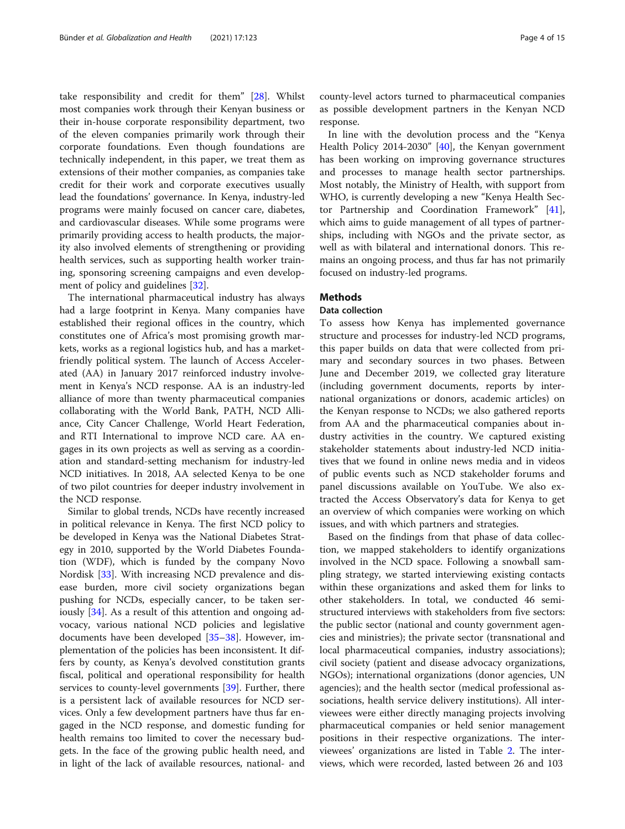take responsibility and credit for them" [\[28\]](#page-13-0). Whilst most companies work through their Kenyan business or their in-house corporate responsibility department, two of the eleven companies primarily work through their corporate foundations. Even though foundations are technically independent, in this paper, we treat them as extensions of their mother companies, as companies take credit for their work and corporate executives usually lead the foundations' governance. In Kenya, industry-led programs were mainly focused on cancer care, diabetes, and cardiovascular diseases. While some programs were primarily providing access to health products, the majority also involved elements of strengthening or providing health services, such as supporting health worker training, sponsoring screening campaigns and even development of policy and guidelines [[32\]](#page-13-0).

The international pharmaceutical industry has always had a large footprint in Kenya. Many companies have established their regional offices in the country, which constitutes one of Africa's most promising growth markets, works as a regional logistics hub, and has a marketfriendly political system. The launch of Access Accelerated (AA) in January 2017 reinforced industry involvement in Kenya's NCD response. AA is an industry-led alliance of more than twenty pharmaceutical companies collaborating with the World Bank, PATH, NCD Alliance, City Cancer Challenge, World Heart Federation, and RTI International to improve NCD care. AA engages in its own projects as well as serving as a coordination and standard-setting mechanism for industry-led NCD initiatives. In 2018, AA selected Kenya to be one of two pilot countries for deeper industry involvement in the NCD response.

Similar to global trends, NCDs have recently increased in political relevance in Kenya. The first NCD policy to be developed in Kenya was the National Diabetes Strategy in 2010, supported by the World Diabetes Foundation (WDF), which is funded by the company Novo Nordisk [\[33](#page-13-0)]. With increasing NCD prevalence and disease burden, more civil society organizations began pushing for NCDs, especially cancer, to be taken ser-iously [[34\]](#page-13-0). As a result of this attention and ongoing advocacy, various national NCD policies and legislative documents have been developed [\[35](#page-13-0)–[38\]](#page-14-0). However, implementation of the policies has been inconsistent. It differs by county, as Kenya's devolved constitution grants fiscal, political and operational responsibility for health services to county-level governments [\[39\]](#page-14-0). Further, there is a persistent lack of available resources for NCD services. Only a few development partners have thus far engaged in the NCD response, and domestic funding for health remains too limited to cover the necessary budgets. In the face of the growing public health need, and in light of the lack of available resources, national- and county-level actors turned to pharmaceutical companies as possible development partners in the Kenyan NCD response.

In line with the devolution process and the "Kenya Health Policy 2014-2030" [[40](#page-14-0)], the Kenyan government has been working on improving governance structures and processes to manage health sector partnerships. Most notably, the Ministry of Health, with support from WHO, is currently developing a new "Kenya Health Sector Partnership and Coordination Framework" [\[41](#page-14-0)], which aims to guide management of all types of partnerships, including with NGOs and the private sector, as well as with bilateral and international donors. This remains an ongoing process, and thus far has not primarily focused on industry-led programs.

# **Methods**

# Data collection

To assess how Kenya has implemented governance structure and processes for industry-led NCD programs, this paper builds on data that were collected from primary and secondary sources in two phases. Between June and December 2019, we collected gray literature (including government documents, reports by international organizations or donors, academic articles) on the Kenyan response to NCDs; we also gathered reports from AA and the pharmaceutical companies about industry activities in the country. We captured existing stakeholder statements about industry-led NCD initiatives that we found in online news media and in videos of public events such as NCD stakeholder forums and panel discussions available on YouTube. We also extracted the Access Observatory's data for Kenya to get an overview of which companies were working on which issues, and with which partners and strategies.

Based on the findings from that phase of data collection, we mapped stakeholders to identify organizations involved in the NCD space. Following a snowball sampling strategy, we started interviewing existing contacts within these organizations and asked them for links to other stakeholders. In total, we conducted 46 semistructured interviews with stakeholders from five sectors: the public sector (national and county government agencies and ministries); the private sector (transnational and local pharmaceutical companies, industry associations); civil society (patient and disease advocacy organizations, NGOs); international organizations (donor agencies, UN agencies); and the health sector (medical professional associations, health service delivery institutions). All interviewees were either directly managing projects involving pharmaceutical companies or held senior management positions in their respective organizations. The interviewees' organizations are listed in Table [2.](#page-4-0) The interviews, which were recorded, lasted between 26 and 103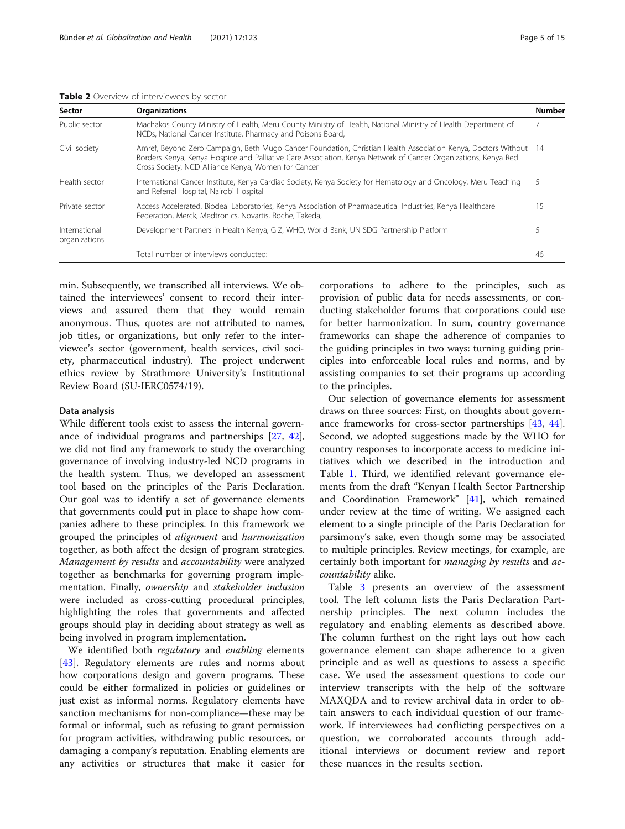|  | ----<br>- |  |
|--|-----------|--|
|  |           |  |
|  |           |  |

<span id="page-4-0"></span>

| Sector                         | <b>Organizations</b>                                                                                                                                                                                                                                                                      | <b>Number</b> |
|--------------------------------|-------------------------------------------------------------------------------------------------------------------------------------------------------------------------------------------------------------------------------------------------------------------------------------------|---------------|
| Public sector                  | Machakos County Ministry of Health, Meru County Ministry of Health, National Ministry of Health Department of<br>NCDs, National Cancer Institute, Pharmacy and Poisons Board,                                                                                                             |               |
| Civil society                  | Amref, Beyond Zero Campaign, Beth Mugo Cancer Foundation, Christian Health Association Kenya, Doctors Without 14<br>Borders Kenya, Kenya Hospice and Palliative Care Association, Kenya Network of Cancer Organizations, Kenya Red<br>Cross Society, NCD Alliance Kenya, Women for Cancer |               |
| Health sector                  | International Cancer Institute, Kenya Cardiac Society, Kenya Society for Hematology and Oncology, Meru Teaching<br>and Referral Hospital, Nairobi Hospital                                                                                                                                |               |
| Private sector                 | Access Accelerated, Biodeal Laboratories, Kenya Association of Pharmaceutical Industries, Kenya Healthcare<br>Federation, Merck, Medtronics, Novartis, Roche, Takeda,                                                                                                                     | 15            |
| International<br>organizations | Development Partners in Health Kenya, GIZ, WHO, World Bank, UN SDG Partnership Platform                                                                                                                                                                                                   |               |
|                                | Total number of interviews conducted:                                                                                                                                                                                                                                                     | 46            |

min. Subsequently, we transcribed all interviews. We obtained the interviewees' consent to record their interviews and assured them that they would remain anonymous. Thus, quotes are not attributed to names, job titles, or organizations, but only refer to the interviewee's sector (government, health services, civil society, pharmaceutical industry). The project underwent ethics review by Strathmore University's Institutional Review Board (SU-IERC0574/19).

### Data analysis

While different tools exist to assess the internal governance of individual programs and partnerships [[27,](#page-13-0) [42](#page-14-0)], we did not find any framework to study the overarching governance of involving industry-led NCD programs in the health system. Thus, we developed an assessment tool based on the principles of the Paris Declaration. Our goal was to identify a set of governance elements that governments could put in place to shape how companies adhere to these principles. In this framework we grouped the principles of alignment and harmonization together, as both affect the design of program strategies. Management by results and accountability were analyzed together as benchmarks for governing program implementation. Finally, ownership and stakeholder inclusion were included as cross-cutting procedural principles, highlighting the roles that governments and affected groups should play in deciding about strategy as well as being involved in program implementation.

We identified both regulatory and enabling elements [[43\]](#page-14-0). Regulatory elements are rules and norms about how corporations design and govern programs. These could be either formalized in policies or guidelines or just exist as informal norms. Regulatory elements have sanction mechanisms for non-compliance—these may be formal or informal, such as refusing to grant permission for program activities, withdrawing public resources, or damaging a company's reputation. Enabling elements are any activities or structures that make it easier for corporations to adhere to the principles, such as provision of public data for needs assessments, or conducting stakeholder forums that corporations could use for better harmonization. In sum, country governance frameworks can shape the adherence of companies to the guiding principles in two ways: turning guiding principles into enforceable local rules and norms, and by assisting companies to set their programs up according to the principles.

Our selection of governance elements for assessment draws on three sources: First, on thoughts about governance frameworks for cross-sector partnerships [\[43,](#page-14-0) [44](#page-14-0)]. Second, we adopted suggestions made by the WHO for country responses to incorporate access to medicine initiatives which we described in the introduction and Table [1.](#page-2-0) Third, we identified relevant governance elements from the draft "Kenyan Health Sector Partnership and Coordination Framework" [\[41](#page-14-0)], which remained under review at the time of writing. We assigned each element to a single principle of the Paris Declaration for parsimony's sake, even though some may be associated to multiple principles. Review meetings, for example, are certainly both important for *managing by results* and *ac*countability alike.

Table [3](#page-5-0) presents an overview of the assessment tool. The left column lists the Paris Declaration Partnership principles. The next column includes the regulatory and enabling elements as described above. The column furthest on the right lays out how each governance element can shape adherence to a given principle and as well as questions to assess a specific case. We used the assessment questions to code our interview transcripts with the help of the software MAXQDA and to review archival data in order to obtain answers to each individual question of our framework. If interviewees had conflicting perspectives on a question, we corroborated accounts through additional interviews or document review and report these nuances in the results section.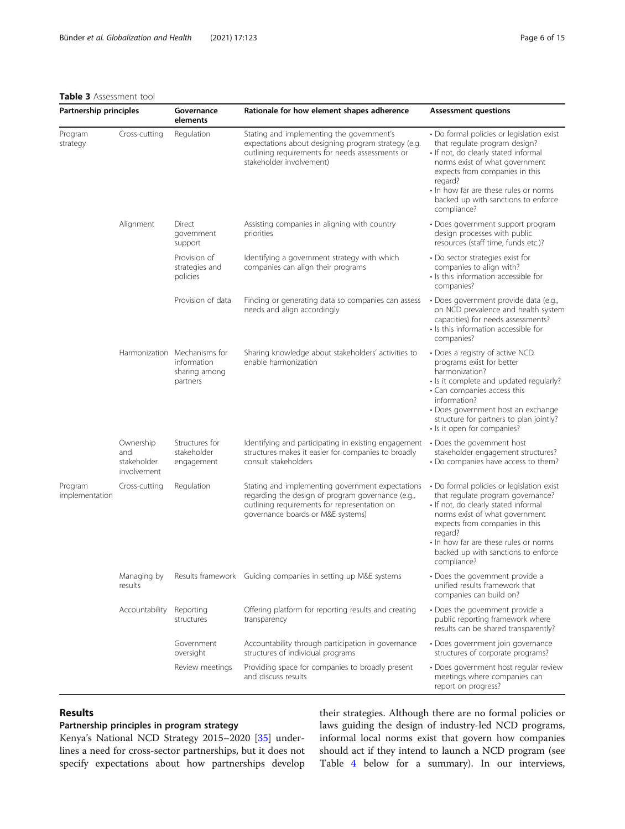# <span id="page-5-0"></span>Table 3 Assessment tool

| Partnership principles    |                                                | Governance<br>Rationale for how element shapes adherence<br>elements     |                                                                                                                                                                                            | <b>Assessment questions</b>                                                                                                                                                                                                                                                                          |  |
|---------------------------|------------------------------------------------|--------------------------------------------------------------------------|--------------------------------------------------------------------------------------------------------------------------------------------------------------------------------------------|------------------------------------------------------------------------------------------------------------------------------------------------------------------------------------------------------------------------------------------------------------------------------------------------------|--|
| Program<br>strategy       | Cross-cutting                                  | Regulation                                                               | Stating and implementing the government's<br>expectations about designing program strategy (e.g.<br>outlining requirements for needs assessments or<br>stakeholder involvement)            | • Do formal policies or legislation exist<br>that regulate program design?<br>· If not, do clearly stated informal<br>norms exist of what government<br>expects from companies in this<br>regard?<br>• In how far are these rules or norms<br>backed up with sanctions to enforce<br>compliance?     |  |
|                           | Alignment                                      | Direct<br>government<br>support                                          | Assisting companies in aligning with country<br>priorities                                                                                                                                 | • Does government support program<br>design processes with public<br>resources (staff time, funds etc.)?                                                                                                                                                                                             |  |
|                           |                                                | Provision of<br>strategies and<br>policies                               | Identifying a government strategy with which<br>companies can align their programs                                                                                                         | • Do sector strategies exist for<br>companies to align with?<br>• Is this information accessible for<br>companies?                                                                                                                                                                                   |  |
|                           |                                                | Provision of data                                                        | Finding or generating data so companies can assess<br>needs and align accordingly                                                                                                          | • Does government provide data (e.g.,<br>on NCD prevalence and health system<br>capacities) for needs assessments?<br>• Is this information accessible for<br>companies?                                                                                                                             |  |
|                           |                                                | Harmonization Mechanisms for<br>information<br>sharing among<br>partners | Sharing knowledge about stakeholders' activities to<br>enable harmonization                                                                                                                | • Does a registry of active NCD<br>programs exist for better<br>harmonization?<br>• Is it complete and updated regularly?<br>• Can companies access this<br>information?<br>• Does government host an exchange<br>structure for partners to plan jointly?<br>• Is it open for companies?             |  |
|                           | Ownership<br>and<br>stakeholder<br>involvement | Structures for<br>stakeholder<br>engagement                              | Identifying and participating in existing engagement<br>structures makes it easier for companies to broadly<br>consult stakeholders                                                        | • Does the government host<br>stakeholder engagement structures?<br>• Do companies have access to them?                                                                                                                                                                                              |  |
| Program<br>implementation | Cross-cutting                                  | Regulation                                                               | Stating and implementing government expectations<br>regarding the design of program governance (e.g.,<br>outlining requirements for representation on<br>governance boards or M&E systems) | • Do formal policies or legislation exist<br>that regulate program governance?<br>· If not, do clearly stated informal<br>norms exist of what government<br>expects from companies in this<br>regard?<br>• In how far are these rules or norms<br>backed up with sanctions to enforce<br>compliance? |  |
|                           | results                                        |                                                                          | Managing by Results framework Guiding companies in setting up M&E systems                                                                                                                  | • Does the government provide a<br>unified results framework that<br>companies can build on?                                                                                                                                                                                                         |  |
|                           | Accountability                                 | Reporting<br>structures                                                  | Offering platform for reporting results and creating<br>transparency                                                                                                                       | • Does the government provide a<br>public reporting framework where<br>results can be shared transparently?                                                                                                                                                                                          |  |
|                           |                                                | Government<br>oversight                                                  | Accountability through participation in governance<br>structures of individual programs                                                                                                    | · Does government join governance<br>structures of corporate programs?                                                                                                                                                                                                                               |  |
|                           |                                                | Review meetings                                                          | Providing space for companies to broadly present<br>and discuss results                                                                                                                    | · Does government host regular review<br>meetings where companies can<br>report on progress?                                                                                                                                                                                                         |  |

# Results

# Partnership principles in program strategy

Kenya's National NCD Strategy 2015–2020 [[35\]](#page-13-0) underlines a need for cross-sector partnerships, but it does not specify expectations about how partnerships develop

their strategies. Although there are no formal policies or laws guiding the design of industry-led NCD programs, informal local norms exist that govern how companies should act if they intend to launch a NCD program (see Table [4](#page-6-0) below for a summary). In our interviews,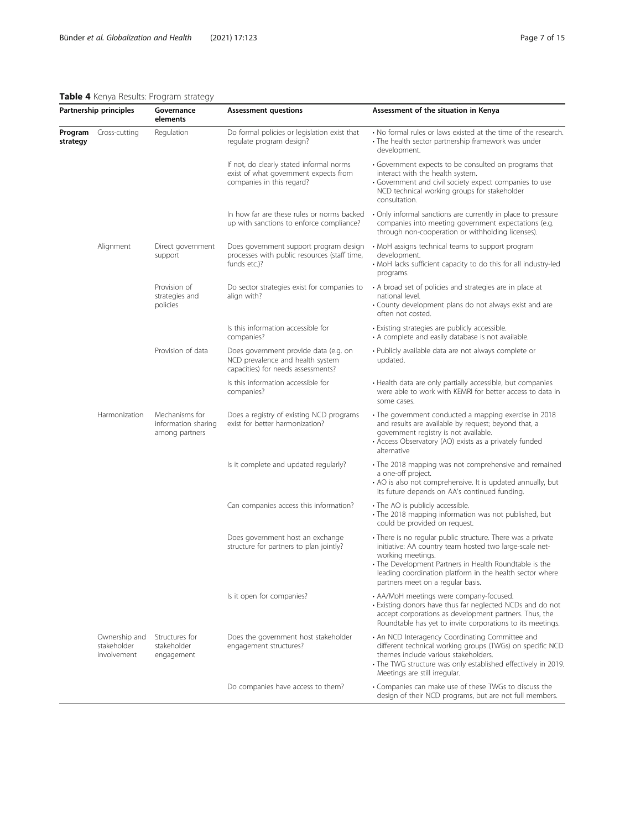### <span id="page-6-0"></span>Table 4 Kenya Results: Program strategy

| Partnership principles |                                             | Governance<br><b>Assessment questions</b><br>elements   |                                                                                                                 | Assessment of the situation in Kenya                                                                                                                                                                                                                                                                   |  |
|------------------------|---------------------------------------------|---------------------------------------------------------|-----------------------------------------------------------------------------------------------------------------|--------------------------------------------------------------------------------------------------------------------------------------------------------------------------------------------------------------------------------------------------------------------------------------------------------|--|
| Program<br>strategy    | Cross-cutting                               | Regulation                                              | Do formal policies or legislation exist that<br>regulate program design?                                        | • No formal rules or laws existed at the time of the research.<br>• The health sector partnership framework was under<br>development.                                                                                                                                                                  |  |
|                        |                                             |                                                         | If not, do clearly stated informal norms<br>exist of what government expects from<br>companies in this regard?  | • Government expects to be consulted on programs that<br>interact with the health system.<br>· Government and civil society expect companies to use<br>NCD technical working groups for stakeholder<br>consultation.                                                                                   |  |
|                        |                                             |                                                         | In how far are these rules or norms backed<br>up with sanctions to enforce compliance?                          | · Only informal sanctions are currently in place to pressure<br>companies into meeting government expectations (e.g.<br>through non-cooperation or withholding licenses).                                                                                                                              |  |
|                        | Alignment                                   | Direct government<br>support                            | Does government support program design<br>processes with public resources (staff time,<br>funds etc.)?          | • MoH assigns technical teams to support program<br>development.<br>• MoH lacks sufficient capacity to do this for all industry-led<br>programs.                                                                                                                                                       |  |
|                        |                                             | Provision of<br>strategies and<br>policies              | Do sector strategies exist for companies to<br>align with?                                                      | • A broad set of policies and strategies are in place at<br>national level.<br>• County development plans do not always exist and are<br>often not costed.                                                                                                                                             |  |
|                        |                                             |                                                         | Is this information accessible for<br>companies?                                                                | · Existing strategies are publicly accessible.<br>• A complete and easily database is not available.                                                                                                                                                                                                   |  |
|                        |                                             | Provision of data                                       | Does government provide data (e.g. on<br>NCD prevalence and health system<br>capacities) for needs assessments? | • Publicly available data are not always complete or<br>updated.                                                                                                                                                                                                                                       |  |
|                        |                                             |                                                         | Is this information accessible for<br>companies?                                                                | • Health data are only partially accessible, but companies<br>were able to work with KEMRI for better access to data in<br>some cases.                                                                                                                                                                 |  |
|                        | Harmonization                               | Mechanisms for<br>information sharing<br>among partners | Does a registry of existing NCD programs<br>exist for better harmonization?                                     | • The government conducted a mapping exercise in 2018<br>and results are available by request; beyond that, a<br>government registry is not available.<br>• Access Observatory (AO) exists as a privately funded<br>alternative                                                                        |  |
|                        |                                             |                                                         | Is it complete and updated regularly?                                                                           | • The 2018 mapping was not comprehensive and remained<br>a one-off project.<br>• AO is also not comprehensive. It is updated annually, but<br>its future depends on AA's continued funding.                                                                                                            |  |
|                        |                                             |                                                         | Can companies access this information?                                                                          | • The AO is publicly accessible.<br>• The 2018 mapping information was not published, but<br>could be provided on request.                                                                                                                                                                             |  |
|                        |                                             |                                                         | Does government host an exchange<br>structure for partners to plan jointly?                                     | • There is no regular public structure. There was a private<br>initiative: AA country team hosted two large-scale net-<br>working meetings.<br>• The Development Partners in Health Roundtable is the<br>leading coordination platform in the health sector where<br>partners meet on a regular basis. |  |
|                        |                                             |                                                         | Is it open for companies?                                                                                       | • AA/MoH meetings were company-focused.<br>• Existing donors have thus far neglected NCDs and do not<br>accept corporations as development partners. Thus, the<br>Roundtable has yet to invite corporations to its meetings.                                                                           |  |
|                        | Ownership and<br>stakeholder<br>involvement | Structures for<br>stakeholder<br>engagement             | Does the government host stakeholder<br>engagement structures?                                                  | • An NCD Interagency Coordinating Committee and<br>different technical working groups (TWGs) on specific NCD<br>themes include various stakeholders.<br>• The TWG structure was only established effectively in 2019.<br>Meetings are still irregular.                                                 |  |
|                        |                                             |                                                         | Do companies have access to them?                                                                               | • Companies can make use of these TWGs to discuss the<br>design of their NCD programs, but are not full members.                                                                                                                                                                                       |  |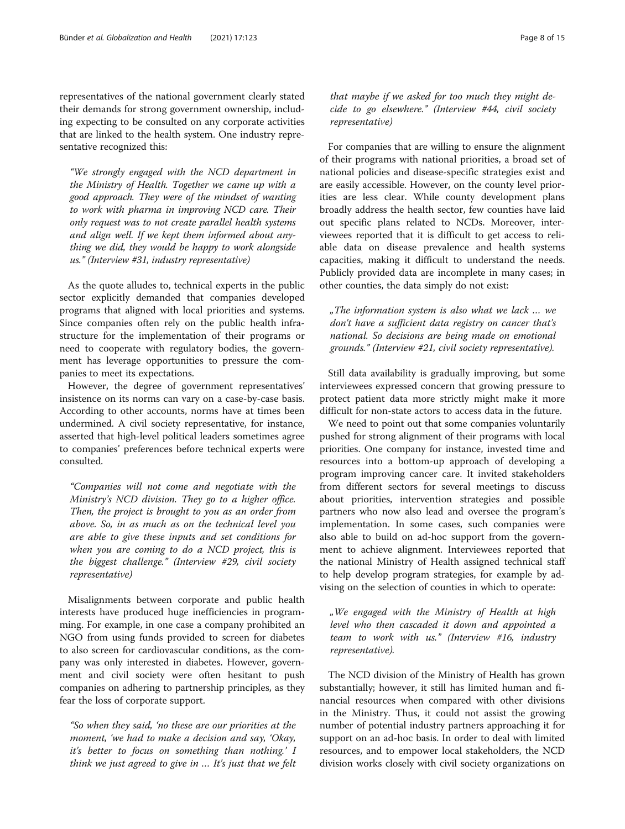representatives of the national government clearly stated their demands for strong government ownership, including expecting to be consulted on any corporate activities that are linked to the health system. One industry representative recognized this:

"We strongly engaged with the NCD department in the Ministry of Health. Together we came up with a good approach. They were of the mindset of wanting to work with pharma in improving NCD care. Their only request was to not create parallel health systems and align well. If we kept them informed about anything we did, they would be happy to work alongside us." (Interview #31, industry representative)

As the quote alludes to, technical experts in the public sector explicitly demanded that companies developed programs that aligned with local priorities and systems. Since companies often rely on the public health infrastructure for the implementation of their programs or need to cooperate with regulatory bodies, the government has leverage opportunities to pressure the companies to meet its expectations.

However, the degree of government representatives' insistence on its norms can vary on a case-by-case basis. According to other accounts, norms have at times been undermined. A civil society representative, for instance, asserted that high-level political leaders sometimes agree to companies' preferences before technical experts were consulted.

"Companies will not come and negotiate with the Ministry's NCD division. They go to a higher office. Then, the project is brought to you as an order from above. So, in as much as on the technical level you are able to give these inputs and set conditions for when you are coming to do a NCD project, this is the biggest challenge." (Interview #29, civil society representative)

Misalignments between corporate and public health interests have produced huge inefficiencies in programming. For example, in one case a company prohibited an NGO from using funds provided to screen for diabetes to also screen for cardiovascular conditions, as the company was only interested in diabetes. However, government and civil society were often hesitant to push companies on adhering to partnership principles, as they fear the loss of corporate support.

"So when they said, 'no these are our priorities at the moment, 'we had to make a decision and say, 'Okay, it's better to focus on something than nothing.' I think we just agreed to give in … It's just that we felt

that maybe if we asked for too much they might decide to go elsewhere." (Interview #44, civil society representative)

For companies that are willing to ensure the alignment of their programs with national priorities, a broad set of national policies and disease-specific strategies exist and are easily accessible. However, on the county level priorities are less clear. While county development plans broadly address the health sector, few counties have laid out specific plans related to NCDs. Moreover, interviewees reported that it is difficult to get access to reliable data on disease prevalence and health systems capacities, making it difficult to understand the needs. Publicly provided data are incomplete in many cases; in other counties, the data simply do not exist:

"The information system is also what we lack … we don't have a sufficient data registry on cancer that's national. So decisions are being made on emotional grounds." (Interview #21, civil society representative).

Still data availability is gradually improving, but some interviewees expressed concern that growing pressure to protect patient data more strictly might make it more difficult for non-state actors to access data in the future.

We need to point out that some companies voluntarily pushed for strong alignment of their programs with local priorities. One company for instance, invested time and resources into a bottom-up approach of developing a program improving cancer care. It invited stakeholders from different sectors for several meetings to discuss about priorities, intervention strategies and possible partners who now also lead and oversee the program's implementation. In some cases, such companies were also able to build on ad-hoc support from the government to achieve alignment. Interviewees reported that the national Ministry of Health assigned technical staff to help develop program strategies, for example by advising on the selection of counties in which to operate:

"We engaged with the Ministry of Health at high level who then cascaded it down and appointed a team to work with us." (Interview #16, industry representative).

The NCD division of the Ministry of Health has grown substantially; however, it still has limited human and financial resources when compared with other divisions in the Ministry. Thus, it could not assist the growing number of potential industry partners approaching it for support on an ad-hoc basis. In order to deal with limited resources, and to empower local stakeholders, the NCD division works closely with civil society organizations on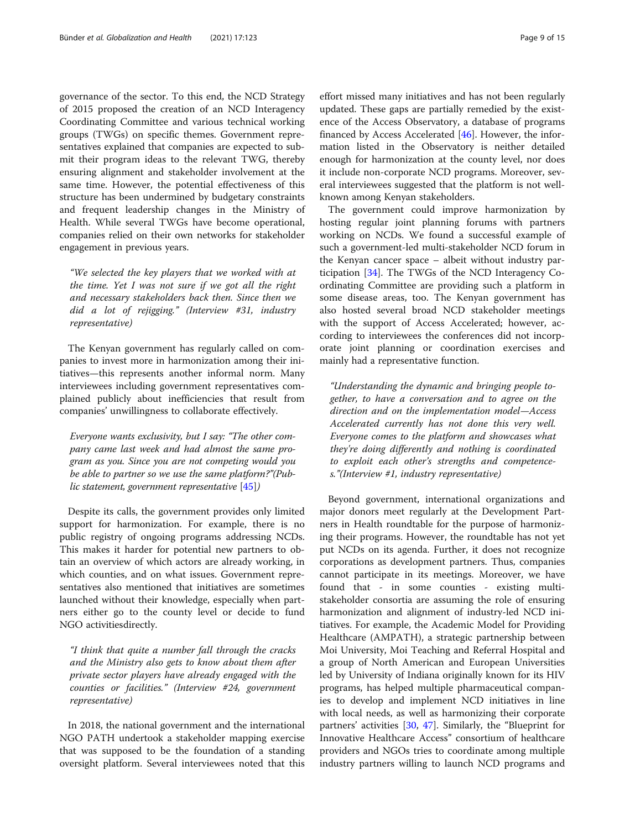governance of the sector. To this end, the NCD Strategy of 2015 proposed the creation of an NCD Interagency Coordinating Committee and various technical working groups (TWGs) on specific themes. Government representatives explained that companies are expected to submit their program ideas to the relevant TWG, thereby ensuring alignment and stakeholder involvement at the same time. However, the potential effectiveness of this structure has been undermined by budgetary constraints and frequent leadership changes in the Ministry of Health. While several TWGs have become operational, companies relied on their own networks for stakeholder engagement in previous years.

"We selected the key players that we worked with at the time. Yet I was not sure if we got all the right and necessary stakeholders back then. Since then we did a lot of rejigging." (Interview #31, industry representative)

The Kenyan government has regularly called on companies to invest more in harmonization among their initiatives—this represents another informal norm. Many interviewees including government representatives complained publicly about inefficiencies that result from companies' unwillingness to collaborate effectively.

Everyone wants exclusivity, but I say: "The other company came last week and had almost the same program as you. Since you are not competing would you be able to partner so we use the same platform?"(Public statement, government representative [[45\]](#page-14-0))

Despite its calls, the government provides only limited support for harmonization. For example, there is no public registry of ongoing programs addressing NCDs. This makes it harder for potential new partners to obtain an overview of which actors are already working, in which counties, and on what issues. Government representatives also mentioned that initiatives are sometimes launched without their knowledge, especially when partners either go to the county level or decide to fund NGO activitiesdirectly.

"I think that quite a number fall through the cracks and the Ministry also gets to know about them after private sector players have already engaged with the counties or facilities." (Interview #24, government representative)

In 2018, the national government and the international NGO PATH undertook a stakeholder mapping exercise that was supposed to be the foundation of a standing oversight platform. Several interviewees noted that this

effort missed many initiatives and has not been regularly updated. These gaps are partially remedied by the existence of the Access Observatory, a database of programs financed by Access Accelerated  $[46]$  $[46]$ . However, the information listed in the Observatory is neither detailed enough for harmonization at the county level, nor does it include non-corporate NCD programs. Moreover, several interviewees suggested that the platform is not wellknown among Kenyan stakeholders.

The government could improve harmonization by hosting regular joint planning forums with partners working on NCDs. We found a successful example of such a government-led multi-stakeholder NCD forum in the Kenyan cancer space – albeit without industry participation [[34\]](#page-13-0). The TWGs of the NCD Interagency Coordinating Committee are providing such a platform in some disease areas, too. The Kenyan government has also hosted several broad NCD stakeholder meetings with the support of Access Accelerated; however, according to interviewees the conferences did not incorporate joint planning or coordination exercises and mainly had a representative function.

"Understanding the dynamic and bringing people together, to have a conversation and to agree on the direction and on the implementation model—Access Accelerated currently has not done this very well. Everyone comes to the platform and showcases what they're doing differently and nothing is coordinated to exploit each other's strengths and competences."(Interview #1, industry representative)

Beyond government, international organizations and major donors meet regularly at the Development Partners in Health roundtable for the purpose of harmonizing their programs. However, the roundtable has not yet put NCDs on its agenda. Further, it does not recognize corporations as development partners. Thus, companies cannot participate in its meetings. Moreover, we have found that - in some counties - existing multistakeholder consortia are assuming the role of ensuring harmonization and alignment of industry-led NCD initiatives. For example, the Academic Model for Providing Healthcare (AMPATH), a strategic partnership between Moi University, Moi Teaching and Referral Hospital and a group of North American and European Universities led by University of Indiana originally known for its HIV programs, has helped multiple pharmaceutical companies to develop and implement NCD initiatives in line with local needs, as well as harmonizing their corporate partners' activities [\[30,](#page-13-0) [47\]](#page-14-0). Similarly, the "Blueprint for Innovative Healthcare Access" consortium of healthcare providers and NGOs tries to coordinate among multiple industry partners willing to launch NCD programs and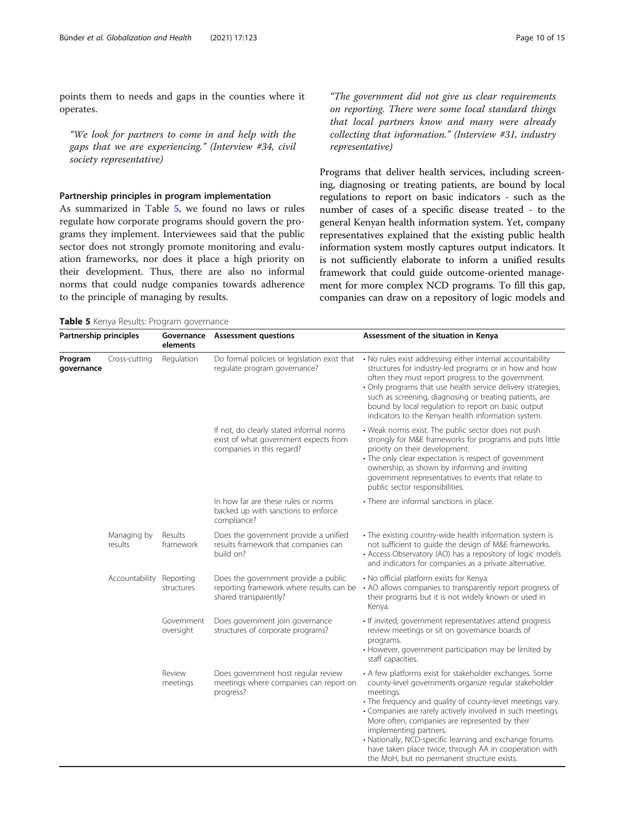points them to needs and gaps in the counties where it operates.

"We look for partners to come in and help with the gaps that we are experiencing." (Interview #34, civil society representative)

# Partnership principles in program implementation

As summarized in Table 5, we found no laws or rules regulate how corporate programs should govern the programs they implement. Interviewees said that the public sector does not strongly promote monitoring and evaluation frameworks, nor does it place a high priority on their development. Thus, there are also no informal norms that could nudge companies towards adherence to the principle of managing by results.

"The government did not give us clear requirements on reporting. There were some local standard things that local partners know and many were already collecting that information." (Interview #31, industry representative)

Programs that deliver health services, including screening, diagnosing or treating patients, are bound by local regulations to report on basic indicators - such as the number of cases of a specific disease treated - to the general Kenyan health information system. Yet, company representatives explained that the existing public health information system mostly captures output indicators. It is not sufficiently elaborate to inform a unified results framework that could guide outcome-oriented management for more complex NCD programs. To fill this gap, companies can draw on a repository of logic models and

the MoH, but no permanent structure exists.

| Partnership principles |                        | elements                | Governance Assessment questions                                                                                | Assessment of the situation in Kenya                                                                                                                                                                                                                                                                                                                                                                                                                       |  |
|------------------------|------------------------|-------------------------|----------------------------------------------------------------------------------------------------------------|------------------------------------------------------------------------------------------------------------------------------------------------------------------------------------------------------------------------------------------------------------------------------------------------------------------------------------------------------------------------------------------------------------------------------------------------------------|--|
| Program<br>governance  | Cross-cutting          | Regulation              | Do formal policies or legislation exist that<br>regulate program governance?                                   | • No rules exist addressing either internal accountability<br>structures for industry-led programs or in how and how<br>often they must report progress to the government.<br>• Only programs that use health service delivery strategies,<br>such as screening, diagnosing or treating patients, are<br>bound by local regulation to report on basic output<br>indicators to the Kenyan health information system.                                        |  |
|                        |                        |                         | If not, do clearly stated informal norms<br>exist of what government expects from<br>companies in this regard? | • Weak norms exist. The public sector does not push<br>strongly for M&E frameworks for programs and puts little<br>priority on their development.<br>• The only clear expectation is respect of government<br>ownership, as shown by informing and inviting<br>government representatives to events that relate to<br>public sector responsibilities.                                                                                                      |  |
|                        |                        |                         | In how far are these rules or norms<br>backed up with sanctions to enforce<br>compliance?                      | • There are informal sanctions in place.                                                                                                                                                                                                                                                                                                                                                                                                                   |  |
|                        | Managing by<br>results | Results<br>framework    | Does the government provide a unified<br>results framework that companies can<br>build on?                     | • The existing country-wide health information system is<br>not sufficient to quide the design of M&E frameworks.<br>• Access Observatory (AO) has a repository of logic models<br>and indicators for companies as a private alternative.                                                                                                                                                                                                                  |  |
|                        | Accountability         | Reporting<br>structures | Does the government provide a public<br>reporting framework where results can be<br>shared transparently?      | . No official platform exists for Kenya.<br>• AO allows companies to transparently report progress of<br>their programs but it is not widely known or used in<br>Kenya.                                                                                                                                                                                                                                                                                    |  |
|                        |                        | Government<br>oversight | Does government join governance<br>structures of corporate programs?                                           | · If invited, government representatives attend progress<br>review meetings or sit on governance boards of<br>programs.<br>• However, government participation may be limited by<br>staff capacities.                                                                                                                                                                                                                                                      |  |
|                        |                        | Review<br>meetings      | Does government host regular review<br>meetings where companies can report on<br>progress?                     | • A few platforms exist for stakeholder exchanges. Some<br>county-level governments organize regular stakeholder<br>meetings.<br>• The frequency and quality of county-level meetings vary.<br>• Companies are rarely actively involved in such meetings.<br>More often, companies are represented by their<br>implementing partners.<br>• Nationally, NCD-specific learning and exchange forums<br>have taken place twice, through AA in cooperation with |  |

Table 5 Kenya Results: Program governance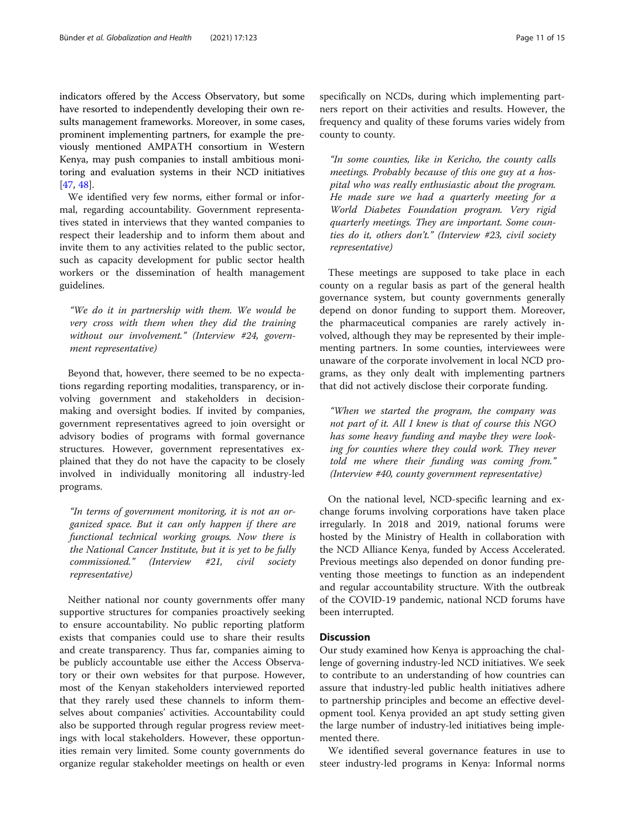indicators offered by the Access Observatory, but some have resorted to independently developing their own results management frameworks. Moreover, in some cases, prominent implementing partners, for example the previously mentioned AMPATH consortium in Western Kenya, may push companies to install ambitious monitoring and evaluation systems in their NCD initiatives [[47,](#page-14-0) [48\]](#page-14-0).

We identified very few norms, either formal or informal, regarding accountability. Government representatives stated in interviews that they wanted companies to respect their leadership and to inform them about and invite them to any activities related to the public sector, such as capacity development for public sector health workers or the dissemination of health management guidelines.

"We do it in partnership with them. We would be very cross with them when they did the training without our involvement." (Interview #24, government representative)

Beyond that, however, there seemed to be no expectations regarding reporting modalities, transparency, or involving government and stakeholders in decisionmaking and oversight bodies. If invited by companies, government representatives agreed to join oversight or advisory bodies of programs with formal governance structures. However, government representatives explained that they do not have the capacity to be closely involved in individually monitoring all industry-led programs.

"In terms of government monitoring, it is not an organized space. But it can only happen if there are functional technical working groups. Now there is the National Cancer Institute, but it is yet to be fully commissioned." (Interview #21, civil society representative)

Neither national nor county governments offer many supportive structures for companies proactively seeking to ensure accountability. No public reporting platform exists that companies could use to share their results and create transparency. Thus far, companies aiming to be publicly accountable use either the Access Observatory or their own websites for that purpose. However, most of the Kenyan stakeholders interviewed reported that they rarely used these channels to inform themselves about companies' activities. Accountability could also be supported through regular progress review meetings with local stakeholders. However, these opportunities remain very limited. Some county governments do organize regular stakeholder meetings on health or even specifically on NCDs, during which implementing partners report on their activities and results. However, the frequency and quality of these forums varies widely from county to county.

"In some counties, like in Kericho, the county calls meetings. Probably because of this one guy at a hospital who was really enthusiastic about the program. He made sure we had a quarterly meeting for a World Diabetes Foundation program. Very rigid quarterly meetings. They are important. Some counties do it, others don't." (Interview #23, civil society representative)

These meetings are supposed to take place in each county on a regular basis as part of the general health governance system, but county governments generally depend on donor funding to support them. Moreover, the pharmaceutical companies are rarely actively involved, although they may be represented by their implementing partners. In some counties, interviewees were unaware of the corporate involvement in local NCD programs, as they only dealt with implementing partners that did not actively disclose their corporate funding.

"When we started the program, the company was not part of it. All I knew is that of course this NGO has some heavy funding and maybe they were looking for counties where they could work. They never told me where their funding was coming from." (Interview #40, county government representative)

On the national level, NCD-specific learning and exchange forums involving corporations have taken place irregularly. In 2018 and 2019, national forums were hosted by the Ministry of Health in collaboration with the NCD Alliance Kenya, funded by Access Accelerated. Previous meetings also depended on donor funding preventing those meetings to function as an independent and regular accountability structure. With the outbreak of the COVID-19 pandemic, national NCD forums have been interrupted.

# **Discussion**

Our study examined how Kenya is approaching the challenge of governing industry-led NCD initiatives. We seek to contribute to an understanding of how countries can assure that industry-led public health initiatives adhere to partnership principles and become an effective development tool. Kenya provided an apt study setting given the large number of industry-led initiatives being implemented there.

We identified several governance features in use to steer industry-led programs in Kenya: Informal norms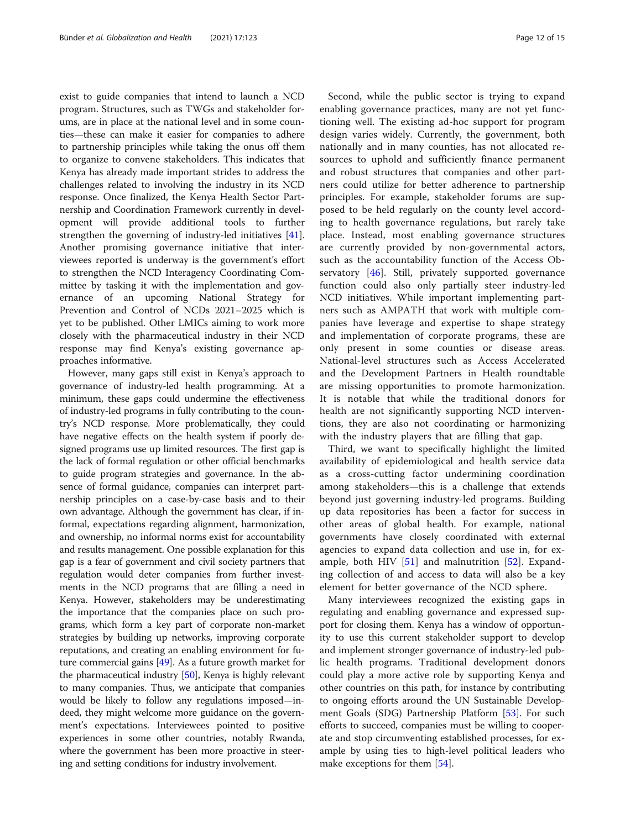exist to guide companies that intend to launch a NCD program. Structures, such as TWGs and stakeholder forums, are in place at the national level and in some counties—these can make it easier for companies to adhere to partnership principles while taking the onus off them to organize to convene stakeholders. This indicates that Kenya has already made important strides to address the challenges related to involving the industry in its NCD response. Once finalized, the Kenya Health Sector Partnership and Coordination Framework currently in development will provide additional tools to further strengthen the governing of industry-led initiatives [\[41](#page-14-0)]. Another promising governance initiative that interviewees reported is underway is the government's effort to strengthen the NCD Interagency Coordinating Committee by tasking it with the implementation and governance of an upcoming National Strategy for Prevention and Control of NCDs 2021–2025 which is yet to be published. Other LMICs aiming to work more closely with the pharmaceutical industry in their NCD response may find Kenya's existing governance approaches informative.

However, many gaps still exist in Kenya's approach to governance of industry-led health programming. At a minimum, these gaps could undermine the effectiveness of industry-led programs in fully contributing to the country's NCD response. More problematically, they could have negative effects on the health system if poorly designed programs use up limited resources. The first gap is the lack of formal regulation or other official benchmarks to guide program strategies and governance. In the absence of formal guidance, companies can interpret partnership principles on a case-by-case basis and to their own advantage. Although the government has clear, if informal, expectations regarding alignment, harmonization, and ownership, no informal norms exist for accountability and results management. One possible explanation for this gap is a fear of government and civil society partners that regulation would deter companies from further investments in the NCD programs that are filling a need in Kenya. However, stakeholders may be underestimating the importance that the companies place on such programs, which form a key part of corporate non-market strategies by building up networks, improving corporate reputations, and creating an enabling environment for future commercial gains [[49](#page-14-0)]. As a future growth market for the pharmaceutical industry [\[50\]](#page-14-0), Kenya is highly relevant to many companies. Thus, we anticipate that companies would be likely to follow any regulations imposed—indeed, they might welcome more guidance on the government's expectations. Interviewees pointed to positive experiences in some other countries, notably Rwanda, where the government has been more proactive in steering and setting conditions for industry involvement.

Second, while the public sector is trying to expand enabling governance practices, many are not yet functioning well. The existing ad-hoc support for program design varies widely. Currently, the government, both nationally and in many counties, has not allocated resources to uphold and sufficiently finance permanent and robust structures that companies and other partners could utilize for better adherence to partnership principles. For example, stakeholder forums are supposed to be held regularly on the county level according to health governance regulations, but rarely take place. Instead, most enabling governance structures are currently provided by non-governmental actors, such as the accountability function of the Access Ob-servatory [[46\]](#page-14-0). Still, privately supported governance function could also only partially steer industry-led NCD initiatives. While important implementing partners such as AMPATH that work with multiple companies have leverage and expertise to shape strategy and implementation of corporate programs, these are only present in some counties or disease areas. National-level structures such as Access Accelerated and the Development Partners in Health roundtable are missing opportunities to promote harmonization. It is notable that while the traditional donors for health are not significantly supporting NCD interventions, they are also not coordinating or harmonizing with the industry players that are filling that gap.

Third, we want to specifically highlight the limited availability of epidemiological and health service data as a cross-cutting factor undermining coordination among stakeholders—this is a challenge that extends beyond just governing industry-led programs. Building up data repositories has been a factor for success in other areas of global health. For example, national governments have closely coordinated with external agencies to expand data collection and use in, for example, both HIV  $[51]$  $[51]$  and malnutrition  $[52]$  $[52]$ . Expanding collection of and access to data will also be a key element for better governance of the NCD sphere.

Many interviewees recognized the existing gaps in regulating and enabling governance and expressed support for closing them. Kenya has a window of opportunity to use this current stakeholder support to develop and implement stronger governance of industry-led public health programs. Traditional development donors could play a more active role by supporting Kenya and other countries on this path, for instance by contributing to ongoing efforts around the UN Sustainable Development Goals (SDG) Partnership Platform [\[53\]](#page-14-0). For such efforts to succeed, companies must be willing to cooperate and stop circumventing established processes, for example by using ties to high-level political leaders who make exceptions for them [[54](#page-14-0)].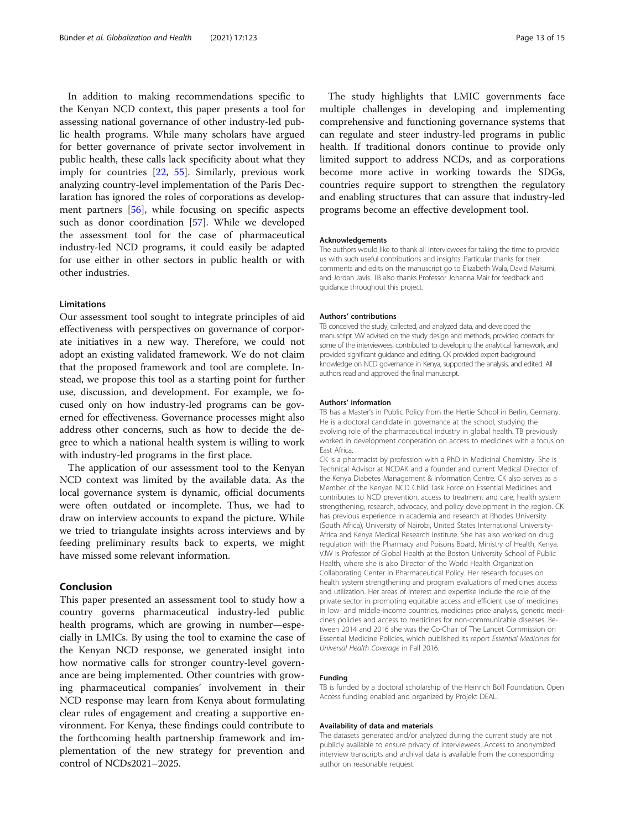In addition to making recommendations specific to the Kenyan NCD context, this paper presents a tool for assessing national governance of other industry-led public health programs. While many scholars have argued for better governance of private sector involvement in public health, these calls lack specificity about what they imply for countries [[22](#page-13-0), [55\]](#page-14-0). Similarly, previous work analyzing country-level implementation of the Paris Declaration has ignored the roles of corporations as development partners [[56\]](#page-14-0), while focusing on specific aspects such as donor coordination [\[57](#page-14-0)]. While we developed the assessment tool for the case of pharmaceutical industry-led NCD programs, it could easily be adapted for use either in other sectors in public health or with other industries.

# Limitations

Our assessment tool sought to integrate principles of aid effectiveness with perspectives on governance of corporate initiatives in a new way. Therefore, we could not adopt an existing validated framework. We do not claim that the proposed framework and tool are complete. Instead, we propose this tool as a starting point for further use, discussion, and development. For example, we focused only on how industry-led programs can be governed for effectiveness. Governance processes might also address other concerns, such as how to decide the degree to which a national health system is willing to work with industry-led programs in the first place.

The application of our assessment tool to the Kenyan NCD context was limited by the available data. As the local governance system is dynamic, official documents were often outdated or incomplete. Thus, we had to draw on interview accounts to expand the picture. While we tried to triangulate insights across interviews and by feeding preliminary results back to experts, we might have missed some relevant information.

# Conclusion

This paper presented an assessment tool to study how a country governs pharmaceutical industry-led public health programs, which are growing in number—especially in LMICs. By using the tool to examine the case of the Kenyan NCD response, we generated insight into how normative calls for stronger country-level governance are being implemented. Other countries with growing pharmaceutical companies' involvement in their NCD response may learn from Kenya about formulating clear rules of engagement and creating a supportive environment. For Kenya, these findings could contribute to the forthcoming health partnership framework and implementation of the new strategy for prevention and control of NCDs2021–2025.

The study highlights that LMIC governments face multiple challenges in developing and implementing comprehensive and functioning governance systems that can regulate and steer industry-led programs in public health. If traditional donors continue to provide only limited support to address NCDs, and as corporations become more active in working towards the SDGs, countries require support to strengthen the regulatory and enabling structures that can assure that industry-led programs become an effective development tool.

#### Acknowledgements

The authors would like to thank all interviewees for taking the time to provide us with such useful contributions and insights. Particular thanks for their comments and edits on the manuscript go to Elizabeth Wala, David Makumi, and Jordan Javis. TB also thanks Professor Johanna Mair for feedback and guidance throughout this project.

#### Authors' contributions

TB conceived the study, collected, and analyzed data, and developed the manuscript. VW advised on the study design and methods, provided contacts for some of the interviewees, contributed to developing the analytical framework, and provided significant guidance and editing. CK provided expert background knowledge on NCD governance in Kenya, supported the analysis, and edited. All authors read and approved the final manuscript.

#### Authors' information

TB has a Master's in Public Policy from the Hertie School in Berlin, Germany. He is a doctoral candidate in governance at the school, studying the evolving role of the pharmaceutical industry in global health. TB previously worked in development cooperation on access to medicines with a focus on East Africa.

CK is a pharmacist by profession with a PhD in Medicinal Chemistry. She is Technical Advisor at NCDAK and a founder and current Medical Director of the Kenya Diabetes Management & Information Centre. CK also serves as a Member of the Kenyan NCD Child Task Force on Essential Medicines and contributes to NCD prevention, access to treatment and care, health system strengthening, research, advocacy, and policy development in the region. CK has previous experience in academia and research at Rhodes University (South Africa), University of Nairobi, United States International University-Africa and Kenya Medical Research Institute. She has also worked on drug regulation with the Pharmacy and Poisons Board, Ministry of Health, Kenya. VJW is Professor of Global Health at the Boston University School of Public Health, where she is also Director of the World Health Organization Collaborating Center in Pharmaceutical Policy. Her research focuses on health system strengthening and program evaluations of medicines access and utilization. Her areas of interest and expertise include the role of the private sector in promoting equitable access and efficient use of medicines in low- and middle-income countries, medicines price analysis, generic medicines policies and access to medicines for non-communicable diseases. Between 2014 and 2016 she was the Co-Chair of The Lancet Commission on Essential Medicine Policies, which published its report Essential Medicines for Universal Health Coverage in Fall 2016.

#### Funding

TB is funded by a doctoral scholarship of the Heinrich Böll Foundation. Open Access funding enabled and organized by Projekt DEAL.

#### Availability of data and materials

The datasets generated and/or analyzed during the current study are not publicly available to ensure privacy of interviewees. Access to anonymized interview transcripts and archival data is available from the corresponding author on reasonable request.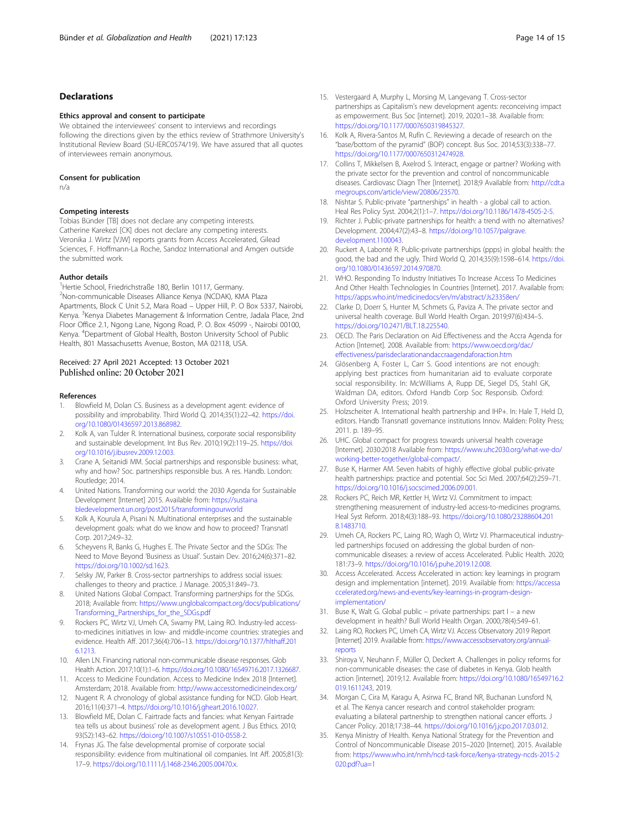# <span id="page-13-0"></span>Declarations

#### Ethics approval and consent to participate

We obtained the interviewees' consent to interviews and recordings following the directions given by the ethics review of Strathmore University's Institutional Review Board (SU-IERC0574/19). We have assured that all quotes of interviewees remain anonymous.

#### Consent for publication

n/a

#### Competing interests

Tobias Bünder [TB] does not declare any competing interests. Catherine Karekezi [CK] does not declare any competing interests. Veronika J. Wirtz [VJW] reports grants from Access Accelerated, Gilead Sciences, F. Hoffmann-La Roche, Sandoz International and Amgen outside the submitted work.

#### Author details

<sup>1</sup>Hertie School, Friedrichstraße 180, Berlin 10117, Germany. 2 Non-communicable Diseases Alliance Kenya (NCDAK), KMA Plaza Apartments, Block C Unit 5.2, Mara Road – Upper Hill, P. O Box 5337, Nairobi, Kenya. <sup>3</sup>Kenya Diabetes Management & Information Centre, Jadala Place, 2nd Floor Office 2.1, Ngong Lane, Ngong Road, P. O. Box 45099 -, Nairobi 00100, Kenya. <sup>4</sup> Department of Global Health, Boston University School of Public Health, 801 Massachusetts Avenue, Boston, MA 02118, USA.

# Received: 27 April 2021 Accepted: 13 October 2021 Published online: 20 October 2021

#### References

- 1. Blowfield M, Dolan CS. Business as a development agent: evidence of possibility and improbability. Third World Q. 2014;35(1):22–42. [https://doi.](https://doi.org/10.1080/01436597.2013.868982) [org/10.1080/01436597.2013.868982.](https://doi.org/10.1080/01436597.2013.868982)
- 2. Kolk A, van Tulder R. International business, corporate social responsibility and sustainable development. Int Bus Rev. 2010;19(2):119–25. [https://doi.](https://doi.org/10.1016/j.ibusrev.2009.12.003) [org/10.1016/j.ibusrev.2009.12.003](https://doi.org/10.1016/j.ibusrev.2009.12.003).
- 3. Crane A, Seitanidi MM. Social partnerships and responsible business: what, why and how? Soc. partnerships responsible bus. A res. Handb. London: Routledge; 2014.
- 4. United Nations. Transforming our world: the 2030 Agenda for Sustainable Development [Internet] 2015. Available from: [https://sustaina](https://sustainabledevelopment.un.org/post2015/transformingourworld) [bledevelopment.un.org/post2015/transformingourworld](https://sustainabledevelopment.un.org/post2015/transformingourworld)
- Kolk A, Kourula A, Pisani N. Multinational enterprises and the sustainable development goals: what do we know and how to proceed? Transnatl Corp. 2017;24:9–32.
- 6. Scheyvens R, Banks G, Hughes E. The Private Sector and the SDGs: The Need to Move Beyond 'Business as Usual'. Sustain Dev. 2016;24(6):371–82. <https://doi.org/10.1002/sd.1623>.
- 7. Selsky JW, Parker B. Cross-sector partnerships to address social issues: challenges to theory and practice. J Manage. 2005;31:849–73.
- United Nations Global Compact. Transforming partnerships for the SDGs. 2018; Available from: [https://www.unglobalcompact.org/docs/publications/](https://www.unglobalcompact.org/docs/publications/Transforming_Partnerships_for_the_SDGs.pdf) [Transforming\\_Partnerships\\_for\\_the\\_SDGs.pdf](https://www.unglobalcompact.org/docs/publications/Transforming_Partnerships_for_the_SDGs.pdf)
- Rockers PC, Wirtz VJ, Umeh CA, Swamy PM, Laing RO. Industry-led accessto-medicines initiatives in low- and middle-income countries: strategies and evidence. Health Aff. 2017;36(4):706–13. [https://doi.org/10.1377/hlthaff.201](https://doi.org/10.1377/hlthaff.2016.1213) [6.1213.](https://doi.org/10.1377/hlthaff.2016.1213)
- 10. Allen LN. Financing national non-communicable disease responses. Glob Health Action. 2017;10(1):1–6. [https://doi.org/10.1080/16549716.2017.1326687.](https://doi.org/10.1080/16549716.2017.1326687)
- 11. Access to Medicine Foundation. Access to Medicine Index 2018 [Internet]. Amsterdam; 2018. Available from: <http://www.accesstomedicineindex.org/>
- 12. Nugent R. A chronology of global assistance funding for NCD. Glob Heart. 2016;11(4):371–4. [https://doi.org/10.1016/j.gheart.2016.10.027.](https://doi.org/10.1016/j.gheart.2016.10.027)
- 13. Blowfield ME, Dolan C. Fairtrade facts and fancies: what Kenyan Fairtrade tea tells us about business' role as development agent. J Bus Ethics. 2010; 93(S2):143–62. <https://doi.org/10.1007/s10551-010-0558-2>.
- 14. Frynas JG. The false developmental promise of corporate social responsibility: evidence from multinational oil companies. Int Aff. 2005;81(3): 17–9. <https://doi.org/10.1111/j.1468-2346.2005.00470.x>.
- 15. Vestergaard A, Murphy L, Morsing M, Langevang T. Cross-sector partnerships as Capitalism's new development agents: reconceiving impact as empowerment. Bus Soc [internet]. 2019, 2020:1–38. Available from: [https://doi.org/10.1177/0007650319845327.](https://doi.org/10.1177/0007650319845327)
- 16. Kolk A, Rivera-Santos M, Rufín C. Reviewing a decade of research on the "base/bottom of the pyramid" (BOP) concept. Bus Soc. 2014;53(3):338–77. [https://doi.org/10.1177/0007650312474928.](https://doi.org/10.1177/0007650312474928)
- 17. Collins T, Mikkelsen B, Axelrod S. Interact, engage or partner? Working with the private sector for the prevention and control of noncommunicable diseases. Cardiovasc Diagn Ther [Internet]. 2018;9 Available from: [http://cdt.a](http://cdt.amegroups.com/article/view/20806/23570) [megroups.com/article/view/20806/23570.](http://cdt.amegroups.com/article/view/20806/23570)
- 18. Nishtar S. Public-private "partnerships" in health a global call to action. Heal Res Policy Syst. 2004;2(1):1–7. <https://doi.org/10.1186/1478-4505-2-5>.
- 19. Richter J. Public-private partnerships for health: a trend with no alternatives? Development. 2004;47(2):43–8. [https://doi.org/10.1057/palgrave.](https://doi.org/10.1057/palgrave.development.1100043) [development.1100043.](https://doi.org/10.1057/palgrave.development.1100043)
- 20. Ruckert A, Labonté R. Public-private partnerships (ppps) in global health: the good, the bad and the ugly. Third World Q. 2014;35(9):1598–614. [https://doi.](https://doi.org/10.1080/01436597.2014.970870) [org/10.1080/01436597.2014.970870.](https://doi.org/10.1080/01436597.2014.970870)
- 21. WHO. Responding To Industry Initiatives To Increase Access To Medicines And Other Health Technologies In Countries [Internet]. 2017. Available from: <https://apps.who.int/medicinedocs/en/m/abstract/Js23358en/>
- 22. Clarke D, Doerr S, Hunter M, Schmets G, Paviza A. The private sector and universal health coverage. Bull World Health Organ. 2019;97(6):434–5. [https://doi.org/10.2471/BLT.18.225540.](https://doi.org/10.2471/BLT.18.225540)
- 23. OECD. The Paris Declaration on Aid Effectiveness and the Accra Agenda for Action [Internet]. 2008. Available from: [https://www.oecd.org/dac/](https://www.oecd.org/dac/effectiveness/parisdeclarationandaccraagendaforaction.htm) [effectiveness/parisdeclarationandaccraagendaforaction.htm](https://www.oecd.org/dac/effectiveness/parisdeclarationandaccraagendaforaction.htm)
- 24. Glösenberg A, Foster L, Carr S. Good intentions are not enough: applying best practices from humanitarian aid to evaluate corporate social responsibility. In: McWilliams A, Rupp DE, Siegel DS, Stahl GK, Waldman DA, editors. Oxford Handb Corp Soc Responsib. Oxford: Oxford University Press; 2019.
- 25. Holzscheiter A. International health partnership and IHP+. In: Hale T, Held D, editors. Handb Transnatl governance institutions Innov. Malden: Polity Press; 2011. p. 189–95.
- 26. UHC. Global compact for progress towards universal health coverage [Internet]. 2030:2018 Available from: [https://www.uhc2030.org/what-we-do/](https://www.uhc2030.org/what-we-do/working-better-together/global-compact/) [working-better-together/global-compact/](https://www.uhc2030.org/what-we-do/working-better-together/global-compact/).
- 27. Buse K, Harmer AM. Seven habits of highly effective global public-private health partnerships: practice and potential. Soc Sci Med. 2007;64(2):259–71. [https://doi.org/10.1016/j.socscimed.2006.09.001.](https://doi.org/10.1016/j.socscimed.2006.09.001)
- 28. Rockers PC, Reich MR, Kettler H, Wirtz VJ. Commitment to impact: strengthening measurement of industry-led access-to-medicines programs. Heal Syst Reform. 2018;4(3):188–93. [https://doi.org/10.1080/23288604.201](https://doi.org/10.1080/23288604.2018.1483710) [8.1483710](https://doi.org/10.1080/23288604.2018.1483710).
- 29. Umeh CA, Rockers PC, Laing RO, Wagh O, Wirtz VJ. Pharmaceutical industryled partnerships focused on addressing the global burden of noncommunicable diseases: a review of access Accelerated. Public Health. 2020; 181:73–9. <https://doi.org/10.1016/j.puhe.2019.12.008>.
- 30. Access Accelerated. Access Accelerated in action: key learnings in program design and implementation [internet]. 2019. Available from: [https://accessa](https://accessaccelerated.org/news-and-events/key-learnings-in-program-design-implementation/) [ccelerated.org/news-and-events/key-learnings-in-program-design](https://accessaccelerated.org/news-and-events/key-learnings-in-program-design-implementation/)[implementation/](https://accessaccelerated.org/news-and-events/key-learnings-in-program-design-implementation/)
- 31. Buse K, Walt G. Global public private partnerships: part I a new development in health? Bull World Health Organ. 2000;78(4):549–61.
- 32. Laing RO, Rockers PC, Umeh CA, Wirtz VJ. Access Observatory 2019 Report [Internet] 2019. Available from: [https://www.accessobservatory.org/annual](https://www.accessobservatory.org/annual-reports)[reports](https://www.accessobservatory.org/annual-reports)
- 33. Shiroya V, Neuhann F, Müller O, Deckert A. Challenges in policy reforms for non-communicable diseases: the case of diabetes in Kenya. Glob health action [internet]. 2019;12. Available from: [https://doi.org/10.1080/16549716.2](https://doi.org/10.1080/16549716.2019.1611243) [019.1611243](https://doi.org/10.1080/16549716.2019.1611243), 2019.
- 34. Morgan C, Cira M, Karagu A, Asirwa FC, Brand NR, Buchanan Lunsford N, et al. The Kenya cancer research and control stakeholder program: evaluating a bilateral partnership to strengthen national cancer efforts. J Cancer Policy. 2018;17:38–44. <https://doi.org/10.1016/j.jcpo.2017.03.012>.
- 35. Kenya Ministry of Health. Kenya National Strategy for the Prevention and Control of Noncommunicable Disease 2015–2020 [Internet]. 2015. Available from: [https://www.who.int/nmh/ncd-task-force/kenya-strategy-ncds-2015-2](https://www.who.int/nmh/ncd-task-force/kenya-strategy-ncds-2015-2020.pdf?ua=1) [020.pdf?ua=1](https://www.who.int/nmh/ncd-task-force/kenya-strategy-ncds-2015-2020.pdf?ua=1)